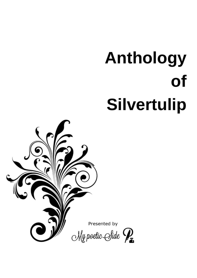# **Anthology of Silvertulip**

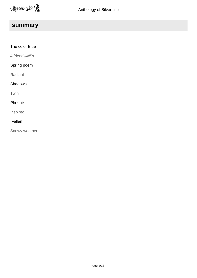## **summary**

| The color Blue     |
|--------------------|
| 4 friend\\\\\\\\'s |
| Spring poem        |
| Radiant            |
| <b>Shadows</b>     |
| Twin               |
| Phoenix            |
| Inspired           |
| Fallen             |

Snowy weather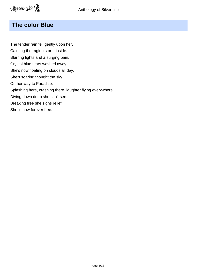## **The color Blue**

The tender rain fell gently upon her. Calming the raging storm inside. Blurring lights and a surging pain. Crystal blue tears washed away. She's now floating on clouds all day. She's soaring thought the sky. On her way to Paradise. Splashing here, crashing there, laughter flying everywhere. Diving down deep she can't see. Breaking free she sighs relief. She is now forever free.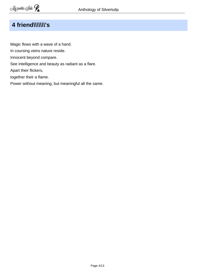# **4 friend\\\\\\\'s**

Magic flows with a wave of a hand. In coursing veins nature reside. Innocent beyond compare. See intelligence and beauty as radiant as a flare. Apart their flickers, together their a flame. Power without meaning, but meaningful all the same.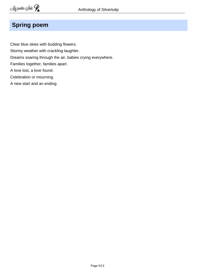# **Spring poem**

Clear blue skies with budding flowers. Stormy weather with crackling laughter. Dreams soaring through the air, babies crying everywhere. Families together, families apart. A love lost, a love found. Celebration or mourning. A new start and an ending.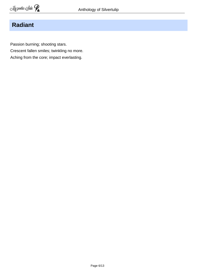## **Radiant**

Passion burning; shooting stars. Crescent fallen smiles; twinkling no more. Aching from the core; impact everlasting.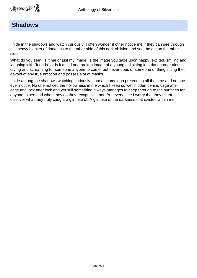#### **Shadows**

I hide in the shadows and watch curiously. I often wonder if other notice me.If they can see through this heavy blanket of darkness to the other side of this dark oblivion and see the girl on the other side.

What do you see? Is it me or just my image. Is the image you gaze upon happy, excited, smiling and laughing with "friends" or is it a sad and broken image of a young girl sitting in a dark corner alone crying and screaming for someone anyone to come, but never does or someone or thing sitting their devoid of any true emotion and posses alot of masks.

I hide among the shadows watching curiously. I am a chameleon pretending all the time and no one ever notice. No one noticed the hollowness in me which I keep so well hidden behind cage after cage and lock after lock and yet still something always manages to seep through to the surfaces for anyone to see and when they do they recognize it not. But every time I worry that they might discover what they truly caught a glimpse of. A glimpse of the darkness that existed within me.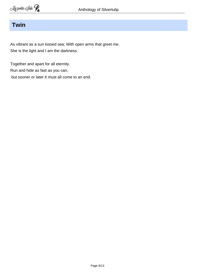## **Twin**

As vibrant as a sun kissed sea; With open arms that greet me. She is the light and I am the darkness.

Together and apart for all eternity. Run and hide as fast as you can; but sooner or later it must all come to an end.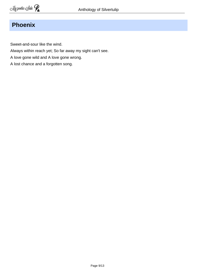## **Phoenix**

Sweet-and-sour like the wind.

Always within reach yet; So far away my sight can't see.

- A love gone wild and A love gone wrong.
- A lost chance and a forgotten song.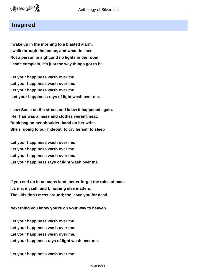#### **Inspired**

**I wake up in the morning to a blasted alarm. I walk through the house, and what do I see. Not a person in sight,and no lights in the room. I can't complain, it's just the way things got to be.**

**Let your happiness wash over me. Let your happiness wash over me. Let your happiness wash over me. Let your happiness rays of light wash over me.**

**I saw Susie on the street, and knew it happened again. Her hair was a mess and clothes weren't neat. Book bag on her shoulder, band on her wrist. She's going to our hideout, to cry herself to sleep**

**Let your happiness wash over me. Let your happiness wash over me. Let your happiness wash over me. Let your happiness rays of light wash over me.**

**If you end up in no mans land, better forget the rules of man. It's me, myself, and I; nothing else matters. The kids don't mess around; the leave you for dead.**

**Next thing you know you're on your way to heaven.**

**Let your happiness wash over me. Let your happiness wash over me. Let your happiness wash over me. Let your happiness rays of light wash over me.**

**Let your happiness wash over me.**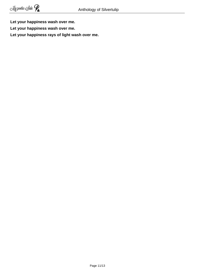**Let your happiness wash over me.**

**Let your happiness wash over me.**

**Let your happiness rays of light wash over me.**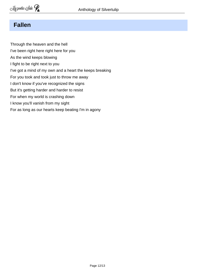## **Fallen**

Through the heaven and the hell I've been right here right here for you As the wind keeps blowing I fight to be right next to you I've got a mind of my own and a heart the keeps breaking For you took and took just to throw me away I don't know if you've recognized the signs But it's getting harder and harder to resist For when my world is crashing down I know you'll vanish from my sight For as long as our hearts keep beating I'm in agony